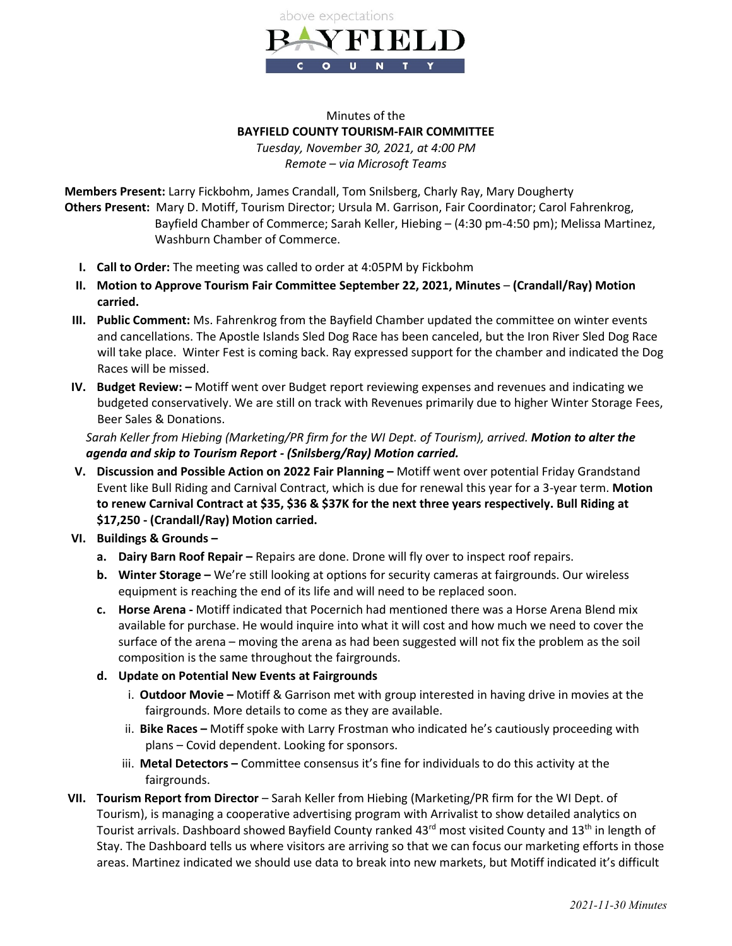

## Minutes of the **BAYFIELD COUNTY TOURISM-FAIR COMMITTEE** *Tuesday, November 30, 2021, at 4:00 PM Remote – via Microsoft Teams*

**Members Present:** Larry Fickbohm, James Crandall, Tom Snilsberg, Charly Ray, Mary Dougherty **Others Present:** Mary D. Motiff, Tourism Director; Ursula M. Garrison, Fair Coordinator; Carol Fahrenkrog, Bayfield Chamber of Commerce; Sarah Keller, Hiebing – (4:30 pm-4:50 pm); Melissa Martinez, Washburn Chamber of Commerce.

- **I. Call to Order:** The meeting was called to order at 4:05PM by Fickbohm
- **II. Motion to Approve Tourism Fair Committee September 22, 2021, Minutes (Crandall/Ray) Motion carried.**
- **III. Public Comment:** Ms. Fahrenkrog from the Bayfield Chamber updated the committee on winter events and cancellations. The Apostle Islands Sled Dog Race has been canceled, but the Iron River Sled Dog Race will take place. Winter Fest is coming back. Ray expressed support for the chamber and indicated the Dog Races will be missed.
- **IV. Budget Review: –** Motiff went over Budget report reviewing expenses and revenues and indicating we budgeted conservatively. We are still on track with Revenues primarily due to higher Winter Storage Fees, Beer Sales & Donations.

*Sarah Keller from Hiebing (Marketing/PR firm for the WI Dept. of Tourism), arrived. Motion to alter the agenda and skip to Tourism Report - (Snilsberg/Ray) Motion carried.*

- **V. Discussion and Possible Action on 2022 Fair Planning –** Motiff went over potential Friday Grandstand Event like Bull Riding and Carnival Contract, which is due for renewal this year for a 3-year term. **Motion to renew Carnival Contract at \$35, \$36 & \$37K for the next three years respectively. Bull Riding at \$17,250 - (Crandall/Ray) Motion carried.**
- **VI. Buildings & Grounds –**
	- **a. Dairy Barn Roof Repair –** Repairs are done. Drone will fly over to inspect roof repairs.
	- **b. Winter Storage –** We're still looking at options for security cameras at fairgrounds. Our wireless equipment is reaching the end of its life and will need to be replaced soon.
	- **c. Horse Arena -** Motiff indicated that Pocernich had mentioned there was a Horse Arena Blend mix available for purchase. He would inquire into what it will cost and how much we need to cover the surface of the arena – moving the arena as had been suggested will not fix the problem as the soil composition is the same throughout the fairgrounds.
	- **d. Update on Potential New Events at Fairgrounds**
		- i. **Outdoor Movie –** Motiff & Garrison met with group interested in having drive in movies at the fairgrounds. More details to come as they are available.
		- ii. **Bike Races –** Motiff spoke with Larry Frostman who indicated he's cautiously proceeding with plans – Covid dependent. Looking for sponsors.
		- iii. **Metal Detectors –** Committee consensus it's fine for individuals to do this activity at the fairgrounds.
- **VII. Tourism Report from Director**  Sarah Keller from Hiebing (Marketing/PR firm for the WI Dept. of Tourism), is managing a cooperative advertising program with Arrivalist to show detailed analytics on Tourist arrivals. Dashboard showed Bayfield County ranked 43<sup>rd</sup> most visited County and 13<sup>th</sup> in length of Stay. The Dashboard tells us where visitors are arriving so that we can focus our marketing efforts in those areas. Martinez indicated we should use data to break into new markets, but Motiff indicated it's difficult